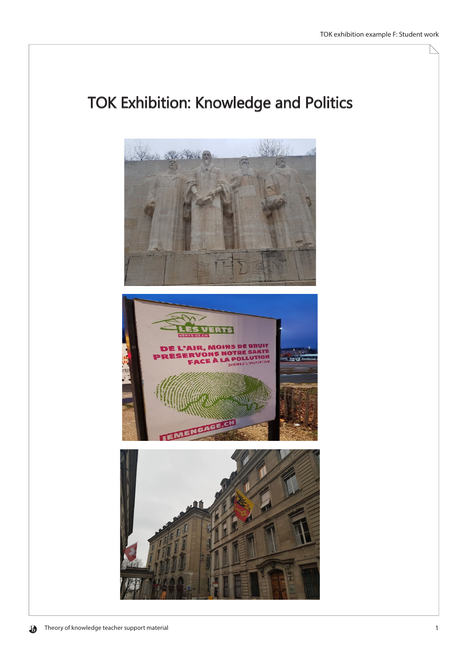## **TOK Exhibition: Knowledge and Politics**